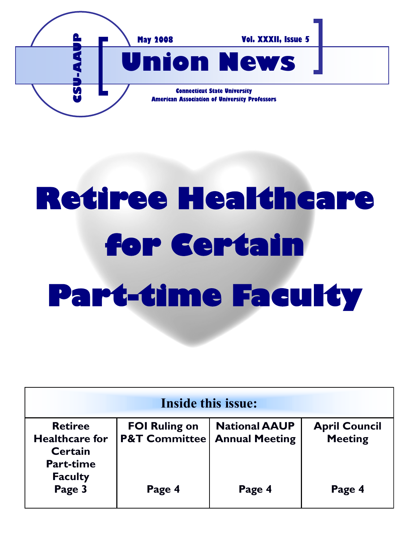

# **Retiree Healthcare for Certain Part-time Faculty**

| <b>Inside this issue:</b>                                                                       |                                                  |                                               |                                        |
|-------------------------------------------------------------------------------------------------|--------------------------------------------------|-----------------------------------------------|----------------------------------------|
| <b>Retiree</b><br><b>Healthcare for</b><br><b>Certain</b><br><b>Part-time</b><br><b>Faculty</b> | <b>FOI Ruling on</b><br><b>P&amp;T Committee</b> | <b>National AAUP</b><br><b>Annual Meeting</b> | <b>April Council</b><br><b>Meeting</b> |
| Page 3                                                                                          | Page 4                                           | Page 4                                        | Page 4                                 |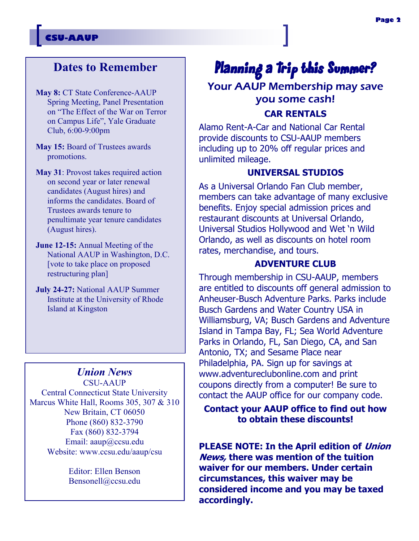#### **CSU-AAUP**

## **Dates to Remember**

**May 8:** CT State Conference-AAUP Spring Meeting, Panel Presentation on "The Effect of the War on Terror on Campus Life", Yale Graduate Club, 6:00-9:00pm

**May 15:** Board of Trustees awards promotions.

**May 31**: Provost takes required action on second year or later renewal candidates (August hires) and informs the candidates. Board of Trustees awards tenure to penultimate year tenure candidates (August hires).

**June 12-15:** Annual Meeting of the National AAUP in Washington, D.C. [vote to take place on proposed restructuring plan]

**July 24-27:** National AAUP Summer Institute at the University of Rhode Island at Kingston

## *Union News*

CSU-AAUP Central Connecticut State University Marcus White Hall, Rooms 305, 307 & 310 New Britain, CT 06050 Phone (860) 832-3790 Fax (860) 832-3794 Email: aaup@ccsu.edu Website: www.ccsu.edu/aaup/csu

> Editor: Ellen Benson Bensonell@ccsu.edu

## Planning a Trip this Summer? Your AAUP Membership may save you some cash! **CAR RENTALS**

Alamo Rent-A-Car and National Car Rental provide discounts to CSU-AAUP members including up to 20% off regular prices and unlimited mileage.

#### **UNIVERSAL STUDIOS**

As a Universal Orlando Fan Club member, members can take advantage of many exclusive benefits. Enjoy special admission prices and restaurant discounts at Universal Orlando, Universal Studios Hollywood and Wet 'n Wild Orlando, as well as discounts on hotel room rates, merchandise, and tours.

#### **ADVENTURE CLUB**

Through membership in CSU-AAUP, members are entitled to discounts off general admission to Anheuser-Busch Adventure Parks. Parks include Busch Gardens and Water Country USA in Williamsburg, VA; Busch Gardens and Adventure Island in Tampa Bay, FL; Sea World Adventure Parks in Orlando, FL, San Diego, CA, and San Antonio, TX; and Sesame Place near Philadelphia, PA. Sign up for savings at www.adventureclubonline.com and print coupons directly from a computer! Be sure to contact the AAUP office for our company code.

### **Contact your AAUP office to find out how to obtain these discounts!**

**PLEASE NOTE: In the April edition of Union News, there was mention of the tuition waiver for our members. Under certain circumstances, this waiver may be considered income and you may be taxed accordingly.**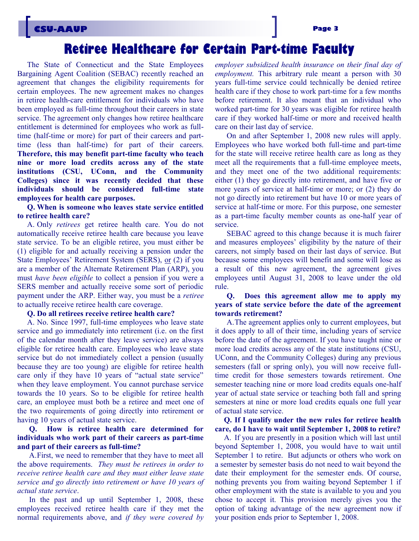## **Retiree Healthcare for Certain Part-time Faculty**

The State of Connecticut and the State Employees Bargaining Agent Coalition (SEBAC) recently reached an agreement that changes the eligibility requirements for certain employees. The new agreement makes no changes in retiree health-care entitlement for individuals who have been employed as full-time throughout their careers in state service. The agreement only changes how retiree healthcare entitlement is determined for employees who work as fulltime (half-time or more) for part of their careers and parttime (less than half-time) for part of their careers. **Therefore, this may benefit part-time faculty who teach nine or more load credits across any of the state institutions (CSU, UConn, and the Community Colleges) since it was recently decided that these individuals should be considered full-time state employees for health care purposes.**

**Q. When is someone who leaves state service entitled to retiree health care?**

A. Only *retirees* get retiree health care. You do not automatically receive retiree health care because you leave state service. To be an eligible retiree, you must either be (1) eligible for and actually receiving a pension under the State Employees' Retirement System (SERS), or (2) if you are a member of the Alternate Retirement Plan (ARP), you must *have been eligible* to collect a pension if you were a SERS member and actually receive some sort of periodic payment under the ARP. Either way, you must be a *retiree* to actually receive retiree health care coverage.

#### **Q. Do all retirees receive retiree health care?**

A. No. Since 1997, full-time employees who leave state service and go immediately into retirement (i.e. on the first of the calendar month after they leave service) are always eligible for retiree health care. Employees who leave state service but do not immediately collect a pension (usually because they are too young) are eligible for retiree health care only if they have 10 years of "actual state service" when they leave employment. You cannot purchase service towards the 10 years. So to be eligible for retiree health care, an employee must both be a retiree and meet one of the two requirements of going directly into retirement or having 10 years of actual state service.

#### **Q. How is retiree health care determined for individuals who work part of their careers as part-time and part of their careers as full-time?**

A.First, we need to remember that they have to meet all the above requirements. *They must be retirees in order to receive retiree health care and they must either leave state service and go directly into retirement or have 10 years of actual state service*.

In the past and up until September 1, 2008, these employees received retiree health care if they met the normal requirements above, and *if they were covered by*  *employer subsidized health insurance on their final day of employment.* This arbitrary rule meant a person with 30 years full-time service could technically be denied retiree health care if they chose to work part-time for a few months before retirement. It also meant that an individual who worked part-time for 30 years was eligible for retiree health care if they worked half-time or more and received health care on their last day of service.

On and after September 1, 2008 new rules will apply. Employees who have worked both full-time and part-time for the state will receive retiree health care as long as they meet all the requirements that a full-time employee meets, and they meet one of the two additional requirements: either (1) they go directly into retirement, and have five or more years of service at half-time or more; or (2) they do not go directly into retirement but have 10 or more years of service at half-time or more. For this purpose, one semester as a part-time faculty member counts as one-half year of service.

SEBAC agreed to this change because it is much fairer and measures employees' eligibility by the nature of their careers, not simply based on their last days of service. But because some employees will benefit and some will lose as a result of this new agreement, the agreement gives employees until August 31, 2008 to leave under the old rule.

#### **Q. Does this agreement allow me to apply my years of state service before the date of the agreement towards retirement?**

A.The agreement applies only to current employees, but it does apply to all of their time, including years of service before the date of the agreement. If you have taught nine or more load credits across any of the state institutions (CSU, UConn, and the Community Colleges) during any previous semesters (fall or spring only), you will now receive fulltime credit for those semesters towards retirement. One semester teaching nine or more load credits equals one-half year of actual state service or teaching both fall and spring semesters at nine or more load credits equals one full year of actual state service.

**Q. If I qualify under the new rules for retiree health care, do I have to wait until September 1, 2008 to retire?** 

A. If you are presently in a position which will last until beyond September 1, 2008, you would have to wait until September 1 to retire. But adjuncts or others who work on a semester by semester basis do not need to wait beyond the date their employment for the semester ends. Of course, nothing prevents you from waiting beyond September 1 if other employment with the state is available to you and you chose to accept it. This provision merely gives you the option of taking advantage of the new agreement now if your position ends prior to September 1, 2008.